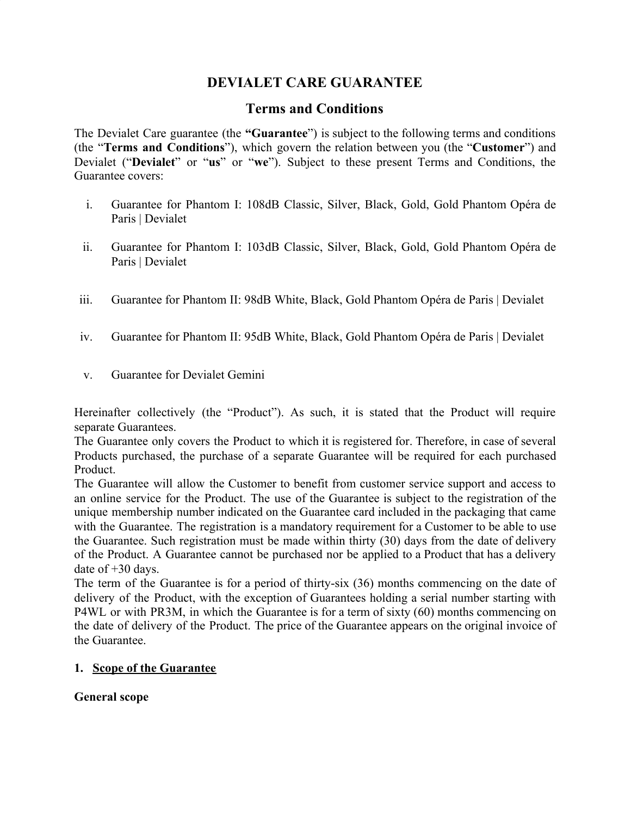# **DEVIALET CARE GUARANTEE**

# **Terms and Conditions**

The Devialet Care guarantee (the **"Guarantee**") is subject to the following terms and conditions (the "**Terms and Conditions**"), which govern the relation between you (the "**Customer**") and Devialet ("**Devialet**" or "**us**" or "**we**"). Subject to these present Terms and Conditions, the Guarantee covers:

- i. Guarantee for Phantom I: 108dB Classic, Silver, Black, Gold, Gold Phantom Opéra de Paris | Devialet
- ii. Guarantee for Phantom I: 103dB Classic, Silver, Black, Gold, Gold Phantom Opéra de Paris | Devialet
- iii. Guarantee for Phantom II: 98dB White, Black, Gold Phantom Opéra de Paris | Devialet
- iv. Guarantee for Phantom II: 95dB White, Black, Gold Phantom Opéra de Paris | Devialet
- v. Guarantee for Devialet Gemini

Hereinafter collectively (the "Product"). As such, it is stated that the Product will require separate Guarantees.

The Guarantee only covers the Product to which it is registered for. Therefore, in case of several Products purchased, the purchase of a separate Guarantee will be required for each purchased Product.

The Guarantee will allow the Customer to benefit from customer service support and access to an online service for the Product. The use of the Guarantee is subject to the registration of the unique membership number indicated on the Guarantee card included in the packaging that came with the Guarantee. The registration is a mandatory requirement for a Customer to be able to use the Guarantee. Such registration must be made within thirty (30) days from the date of delivery of the Product. A Guarantee cannot be purchased nor be applied to a Product that has a delivery date of  $+30$  days.

The term of the Guarantee is for a period of thirty-six (36) months commencing on the date of delivery of the Product, with the exception of Guarantees holding a serial number starting with P4WL or with PR3M, in which the Guarantee is for a term of sixty (60) months commencing on the date of delivery of the Product. The price of the Guarantee appears on the original invoice of the Guarantee.

## **1. Scope of the Guarantee**

**General scope**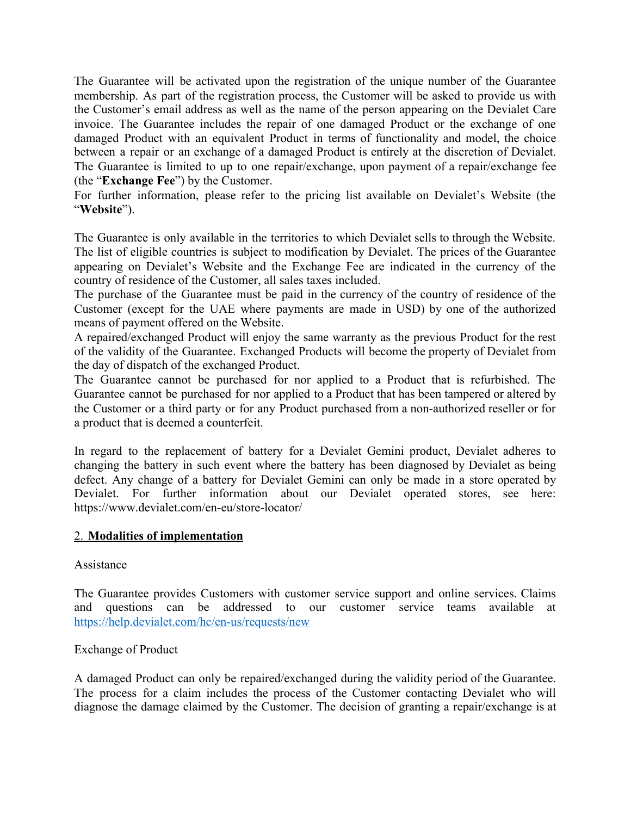The Guarantee will be activated upon the registration of the unique number of the Guarantee membership. As part of the registration process, the Customer will be asked to provide us with the Customer's email address as well as the name of the person appearing on the Devialet Care invoice. The Guarantee includes the repair of one damaged Product or the exchange of one damaged Product with an equivalent Product in terms of functionality and model, the choice between a repair or an exchange of a damaged Product is entirely at the discretion of Devialet. The Guarantee is limited to up to one repair/exchange, upon payment of a repair/exchange fee (the "**Exchange Fee**") by the Customer.

For further information, please refer to the pricing list available on Devialet's Website (the "**Website**").

The Guarantee is only available in the territories to which Devialet sells to through the Website. The list of eligible countries is subject to modification by Devialet. The prices of the Guarantee appearing on Devialet's Website and the Exchange Fee are indicated in the currency of the country of residence of the Customer, all sales taxes included.

The purchase of the Guarantee must be paid in the currency of the country of residence of the Customer (except for the UAE where payments are made in USD) by one of the authorized means of payment offered on the Website.

A repaired/exchanged Product will enjoy the same warranty as the previous Product for the rest of the validity of the Guarantee. Exchanged Products will become the property of Devialet from the day of dispatch of the exchanged Product.

The Guarantee cannot be purchased for nor applied to a Product that is refurbished. The Guarantee cannot be purchased for nor applied to a Product that has been tampered or altered by the Customer or a third party or for any Product purchased from a non-authorized reseller or for a product that is deemed a counterfeit.

In regard to the replacement of battery for a Devialet Gemini product, Devialet adheres to changing the battery in such event where the battery has been diagnosed by Devialet as being defect. Any change of a battery for Devialet Gemini can only be made in a store operated by Devialet. For further information about our Devialet operated stores, see here: https://www.devialet.com/en-eu/store-locator/

#### 2. **Modalities of implementation**

#### Assistance

The Guarantee provides Customers with customer service support and online services. Claims and questions can be addressed to our customer service teams available at <https://help.devialet.com/hc/en-us/requests/new>

## Exchange of Product

A damaged Product can only be repaired/exchanged during the validity period of the Guarantee. The process for a claim includes the process of the Customer contacting Devialet who will diagnose the damage claimed by the Customer. The decision of granting a repair/exchange is at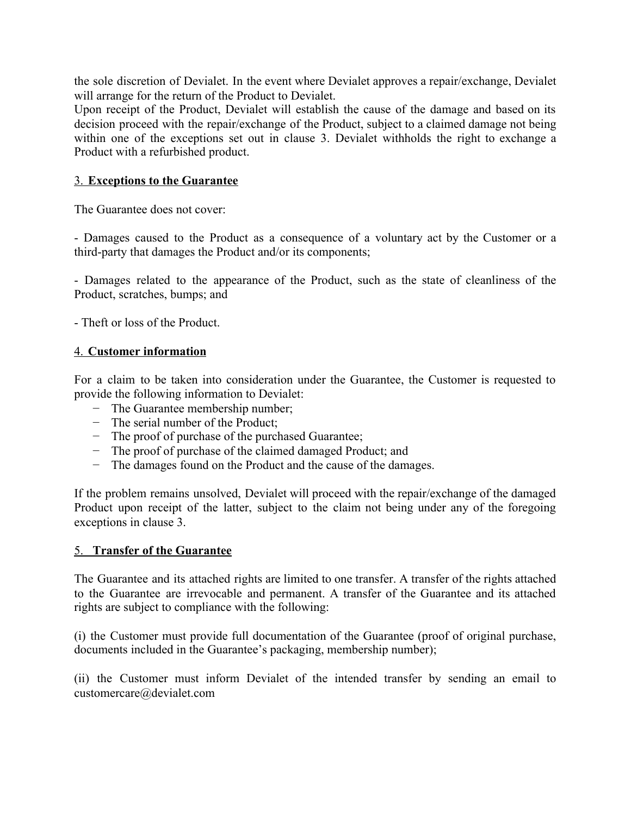the sole discretion of Devialet. In the event where Devialet approves a repair/exchange, Devialet will arrange for the return of the Product to Devialet.

Upon receipt of the Product, Devialet will establish the cause of the damage and based on its decision proceed with the repair/exchange of the Product, subject to a claimed damage not being within one of the exceptions set out in clause 3. Devialet withholds the right to exchange a Product with a refurbished product.

### 3. **Exceptions to the Guarantee**

The Guarantee does not cover:

- Damages caused to the Product as a consequence of a voluntary act by the Customer or a third-party that damages the Product and/or its components;

- Damages related to the appearance of the Product, such as the state of cleanliness of the Product, scratches, bumps; and

- Theft or loss of the Product.

#### 4. **Customer information**

For a claim to be taken into consideration under the Guarantee, the Customer is requested to provide the following information to Devialet:

- − The Guarantee membership number;
- − The serial number of the Product;
- − The proof of purchase of the purchased Guarantee;
- − The proof of purchase of the claimed damaged Product; and
- − The damages found on the Product and the cause of the damages.

If the problem remains unsolved, Devialet will proceed with the repair/exchange of the damaged Product upon receipt of the latter, subject to the claim not being under any of the foregoing exceptions in clause 3.

#### 5. **Transfer of the Guarantee**

The Guarantee and its attached rights are limited to one transfer. A transfer of the rights attached to the Guarantee are irrevocable and permanent. A transfer of the Guarantee and its attached rights are subject to compliance with the following:

(i) the Customer must provide full documentation of the Guarantee (proof of original purchase, documents included in the Guarantee's packaging, membership number);

(ii) the Customer must inform Devialet of the intended transfer by sending an email to customercare@devialet.com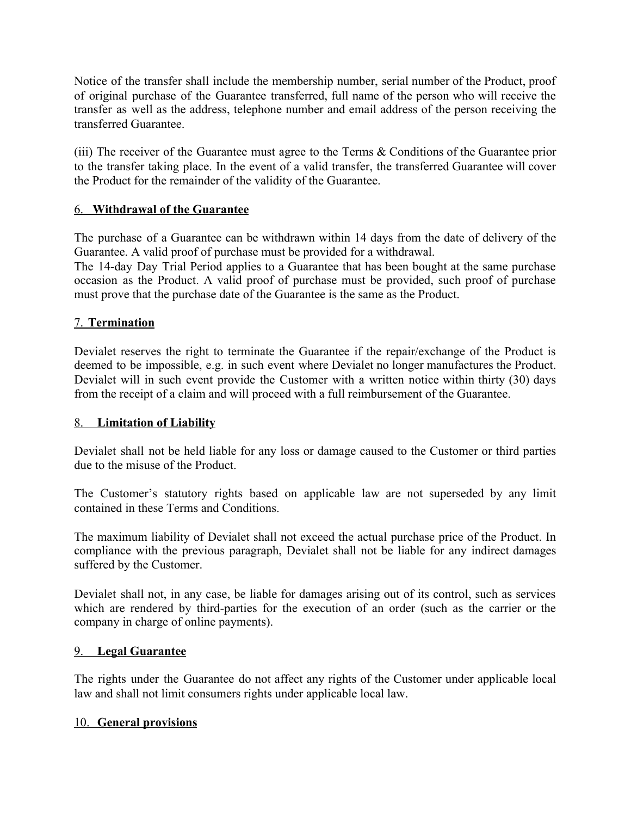Notice of the transfer shall include the membership number, serial number of the Product, proof of original purchase of the Guarantee transferred, full name of the person who will receive the transfer as well as the address, telephone number and email address of the person receiving the transferred Guarantee.

(iii) The receiver of the Guarantee must agree to the Terms & Conditions of the Guarantee prior to the transfer taking place. In the event of a valid transfer, the transferred Guarantee will cover the Product for the remainder of the validity of the Guarantee.

## 6. **Withdrawal of the Guarantee**

The purchase of a Guarantee can be withdrawn within 14 days from the date of delivery of the Guarantee. A valid proof of purchase must be provided for a withdrawal.

The 14-day Day Trial Period applies to a Guarantee that has been bought at the same purchase occasion as the Product. A valid proof of purchase must be provided, such proof of purchase must prove that the purchase date of the Guarantee is the same as the Product.

## 7. **Termination**

Devialet reserves the right to terminate the Guarantee if the repair/exchange of the Product is deemed to be impossible, e.g. in such event where Devialet no longer manufactures the Product. Devialet will in such event provide the Customer with a written notice within thirty (30) days from the receipt of a claim and will proceed with a full reimbursement of the Guarantee.

## 8. **Limitation of Liability**

Devialet shall not be held liable for any loss or damage caused to the Customer or third parties due to the misuse of the Product.

The Customer's statutory rights based on applicable law are not superseded by any limit contained in these Terms and Conditions.

The maximum liability of Devialet shall not exceed the actual purchase price of the Product. In compliance with the previous paragraph, Devialet shall not be liable for any indirect damages suffered by the Customer.

Devialet shall not, in any case, be liable for damages arising out of its control, such as services which are rendered by third-parties for the execution of an order (such as the carrier or the company in charge of online payments).

## 9. **Legal Guarantee**

The rights under the Guarantee do not affect any rights of the Customer under applicable local law and shall not limit consumers rights under applicable local law.

## 10. **General provisions**